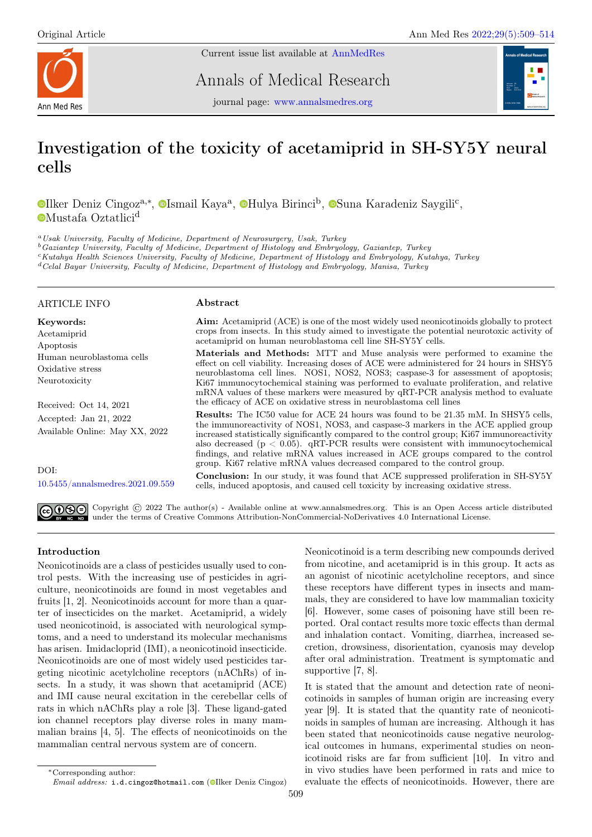

Current issue list available at [AnnMedRes](https://annalsmedres.org/index.php/aomr/issue/view/163)

Annals of Medical Research



journal page: [www.annalsmedres.org](https://www.annalsmedres.org)

# Investigation of the toxicity of acetamiprid in SH-SY5Y neural cells

[I](https://orcid.org/0000-0002-5117-8066)lker Deniz Cingoz<sup>a,∗</sup>, <sup>®</sup>Ismail Kaya<sup>a</sup>, ®[H](https://orcid.org/0000-0002-6749-9665)ulya Birinci<sup>b</sup>, ®[S](https://orcid.org/0000-0003-1704-3720)una Karadeniz Saygili<sup>c</sup>, **[M](https://orcid.org/0000-0001-9914-7122)ustafa Oztatlici<sup>d</sup>** 

<sup>a</sup>Usak University, Faculty of Medicine, Department of Neurosurgery, Usak, Turkey

<sup>b</sup>Gaziantep University, Faculty of Medicine, Department of Histology and Embryology, Gaziantep, Turkey

<sup>c</sup>Kutahya Health Sciences University, Faculty of Medicine, Department of Histology and Embryology, Kutahya, Turkey

<sup>d</sup>Celal Bayar University, Faculty of Medicine, Department of Histology and Embryology, Manisa, Turkey

## ARTICLE INFO

Oxidative stress Neurotoxicity

Human neuroblastoma cells

Received: Oct 14, 2021 Accepted: Jan 21, 2022

Available Online: May XX, 2022

[10.5455/annalsmedres.2021.09.559](https://doi.org/10.5455/annalsmedres.2021.09.559)

Keywords: Acetamiprid Apoptosis

## Abstract

Aim: Acetamiprid (ACE) is one of the most widely used neonicotinoids globally to protect crops from insects. In this study aimed to investigate the potential neurotoxic activity of acetamiprid on human neuroblastoma cell line SH-SY5Y cells.

Materials and Methods: MTT and Muse analysis were performed to examine the effect on cell viability. Increasing doses of ACE were administered for 24 hours in SHSY5 neuroblastoma cell lines. NOS1, NOS2, NOS3; caspase-3 for assessment of apoptosis; Ki67 immunocytochemical staining was performed to evaluate proliferation, and relative mRNA values of these markers were measured by qRT-PCR analysis method to evaluate the efficacy of ACE on oxidative stress in neuroblastoma cell lines

Results: The IC50 value for ACE 24 hours was found to be 21.35 mM. In SHSY5 cells, the immunoreactivity of NOS1, NOS3, and caspase-3 markers in the ACE applied group increased statistically significantly compared to the control group; Ki67 immunoreactivity also decreased (p < 0.05). qRT-PCR results were consistent with immunocytochemical findings, and relative mRNA values increased in ACE groups compared to the control group. Ki67 relative mRNA values decreased compared to the control group.

Conclusion: In our study, it was found that ACE suppressed proliferation in SH-SY5Y cells, induced apoptosis, and caused cell toxicity by increasing oxidative stress.

Copyright  $\odot$  2022 The author(s) - Available online at www.annalsmedres.org. This is an Open Access article distributed under the terms of Creative Commons Attribution-NonCommercial-NoDerivatives 4.0 International License.

# Introduction

DOI:

Neonicotinoids are a class of pesticides usually used to control pests. With the increasing use of pesticides in agriculture, neonicotinoids are found in most vegetables and fruits [1, 2]. Neonicotinoids account for more than a quarter of insecticides on the market. Acetamiprid, a widely used neonicotinoid, is associated with neurological symptoms, and a need to understand its molecular mechanisms has arisen. Imidacloprid (IMI), a neonicotinoid insecticide. Neonicotinoids are one of most widely used pesticides targeting nicotinic acetylcholine receptors (nAChRs) of insects. In a study, it was shown that acetamiprid (ACE) and IMI cause neural excitation in the cerebellar cells of rats in which nAChRs play a role [3]. These ligand-gated ion channel receptors play diverse roles in many mammalian brains [4, 5]. The effects of neonicotinoids on the mammalian central nervous system are of concern.

Neonicotinoid is a term describing new compounds derived from nicotine, and acetamiprid is in this group. It acts as an agonist of nicotinic acetylcholine receptors, and since these receptors have different types in insects and mammals, they are considered to have low mammalian toxicity [6]. However, some cases of poisoning have still been reported. Oral contact results more toxic effects than dermal and inhalation contact. Vomiting, diarrhea, increased secretion, drowsiness, disorientation, cyanosis may develop after oral administration. Treatment is symptomatic and supportive [7, 8].

It is stated that the amount and detection rate of neonicotinoids in samples of human origin are increasing every year [9]. It is stated that the quantity rate of neonicotinoids in samples of human are increasing. Although it has been stated that neonicotinoids cause negative neurological outcomes in humans, experimental studies on neonicotinoid risks are far from sufficient [10]. In vitro and in vivo studies have been performed in rats and mice to evaluate the effects of neonicotinoids. However, there are

<sup>∗</sup>Corresponding author:

Email address: i.d.cingoz@hotmail.com (O[I](https://orcid.org/0000-0002-0452-7606)lker Deniz Cingoz)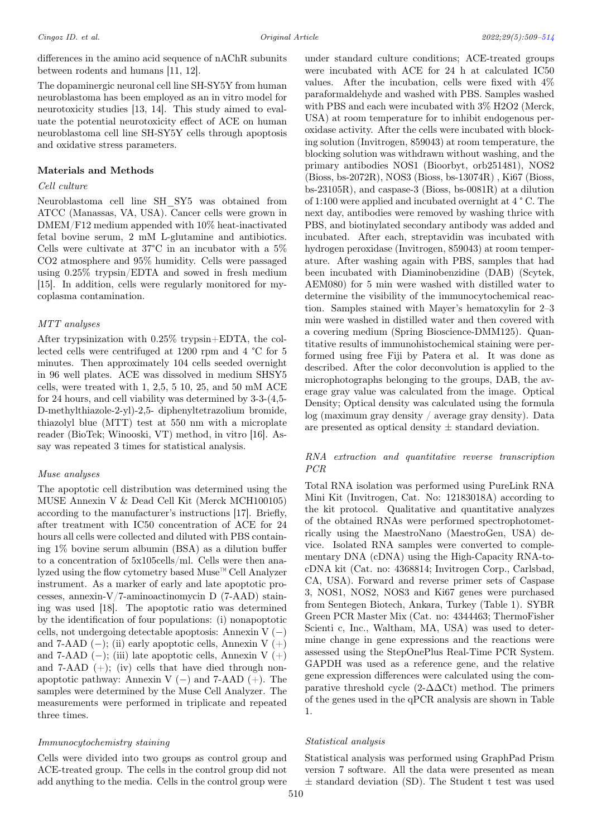differences in the amino acid sequence of nAChR subunits between rodents and humans [11, 12].

The dopaminergic neuronal cell line SH-SY5Y from human neuroblastoma has been employed as an in vitro model for neurotoxicity studies [13, 14]. This study aimed to evaluate the potential neurotoxicity effect of ACE on human neuroblastoma cell line SH-SY5Y cells through apoptosis and oxidative stress parameters.

## Materials and Methods

#### Cell culture

Neuroblastoma cell line SH\_SY5 was obtained from ATCC (Manassas, VA, USA). Cancer cells were grown in DMEM/F12 medium appended with 10% heat-inactivated fetal bovine serum, 2 mM L-glutamine and antibiotics. Cells were cultivate at 37°C in an incubator with a 5% CO2 atmosphere and 95% humidity. Cells were passaged using 0.25% trypsin/EDTA and sowed in fresh medium [15]. In addition, cells were regularly monitored for mycoplasma contamination.

## MTT analyses

After trypsinization with 0.25% trypsin+EDTA, the collected cells were centrifuged at 1200 rpm and 4 °C for 5 minutes. Then approximately 104 cells seeded overnight in 96 well plates. ACE was dissolved in medium SHSY5 cells, were treated with 1, 2,5, 5 10, 25, and 50 mM  $ACE$ for 24 hours, and cell viability was determined by 3-3-(4,5- D-methylthiazole-2-yl)-2,5- diphenyltetrazolium bromide, thiazolyl blue (MTT) test at 550 nm with a microplate reader (BioTek; Winooski, VT) method, in vitro [16]. Assay was repeated 3 times for statistical analysis.

## Muse analyses

The apoptotic cell distribution was determined using the MUSE Annexin V & Dead Cell Kit (Merck MCH100105) according to the manufacturer's instructions [17]. Briefly, after treatment with IC50 concentration of ACE for 24 hours all cells were collected and diluted with PBS containing 1% bovine serum albumin (BSA) as a dilution buffer to a concentration of 5x105cells/ml. Cells were then analyzed using the flow cytometry based Muse™ Cell Analyzer instrument. As a marker of early and late apoptotic processes, annexin-V/7-aminoactinomycin D (7-AAD) staining was used [18]. The apoptotic ratio was determined by the identification of four populations: (i) nonapoptotic cells, not undergoing detectable apoptosis: Annexin V  $(-)$ and 7-AAD  $(-)$ ; (ii) early apoptotic cells, Annexin V  $(+)$ and 7-AAD  $(-)$ ; (iii) late apoptotic cells, Annexin V  $(+)$ and 7-AAD (+); (iv) cells that have died through nonapoptotic pathway: Annexin V (−) and 7-AAD (+). The samples were determined by the Muse Cell Analyzer. The measurements were performed in triplicate and repeated three times.

## Immunocytochemistry staining

Cells were divided into two groups as control group and ACE-treated group. The cells in the control group did not add anything to the media. Cells in the control group were

under standard culture conditions; ACE-treated groups were incubated with ACE for 24 h at calculated IC50 values. After the incubation, cells were fixed with 4% paraformaldehyde and washed with PBS. Samples washed with PBS and each were incubated with 3% H2O2 (Merck, USA) at room temperature for to inhibit endogenous peroxidase activity. After the cells were incubated with blocking solution (Invitrogen, 859043) at room temperature, the blocking solution was withdrawn without washing, and the primary antibodies NOS1 (Bioorbyt, orb251481), NOS2 (Bioss, bs-2072R), NOS3 (Bioss, bs-13074R) , Ki67 (Bioss, bs-23105R), and caspase-3 (Bioss, bs-0081R) at a dilution of 1:100 were applied and incubated overnight at 4 ° C. The next day, antibodies were removed by washing thrice with PBS, and biotinylated secondary antibody was added and incubated. After each, streptavidin was incubated with hydrogen peroxidase (Invitrogen, 859043) at room temperature. After washing again with PBS, samples that had been incubated with Diaminobenzidine (DAB) (Scytek, AEM080) for 5 min were washed with distilled water to determine the visibility of the immunocytochemical reaction. Samples stained with Mayer's hematoxylin for 2–3 min were washed in distilled water and then covered with a covering medium (Spring Bioscience-DMM125). Quantitative results of immunohistochemical staining were performed using free Fiji by Patera et al. It was done as described. After the color deconvolution is applied to the microphotographs belonging to the groups, DAB, the average gray value was calculated from the image. Optical Density; Optical density was calculated using the formula log (maximum gray density / average gray density). Data are presented as optical density  $\pm$  standard deviation.

## RNA extraction and quantitative reverse transcription PCR

Total RNA isolation was performed using PureLink RNA Mini Kit (Invitrogen, Cat. No: 12183018A) according to the kit protocol. Qualitative and quantitative analyzes of the obtained RNAs were performed spectrophotometrically using the MaestroNano (MaestroGen, USA) device. Isolated RNA samples were converted to complementary DNA (cDNA) using the High-Capacity RNA-tocDNA kit (Cat. no: 4368814; Invitrogen Corp., Carlsbad, CA, USA). Forward and reverse primer sets of Caspase 3, NOS1, NOS2, NOS3 and Ki67 genes were purchased from Sentegen Biotech, Ankara, Turkey (Table 1). SYBR Green PCR Master Mix (Cat. no: 4344463; ThermoFisher Scienti c, Inc., Waltham, MA, USA) was used to determine change in gene expressions and the reactions were assessed using the StepOnePlus Real-Time PCR System. GAPDH was used as a reference gene, and the relative gene expression differences were calculated using the comparative threshold cycle  $(2-\Delta\Delta\text{Ct})$  method. The primers of the genes used in the qPCR analysis are shown in Table 1.

## Statistical analysis

Statistical analysis was performed using GraphPad Prism version 7 software. All the data were presented as mean  $\pm$  standard deviation (SD). The Student t test was used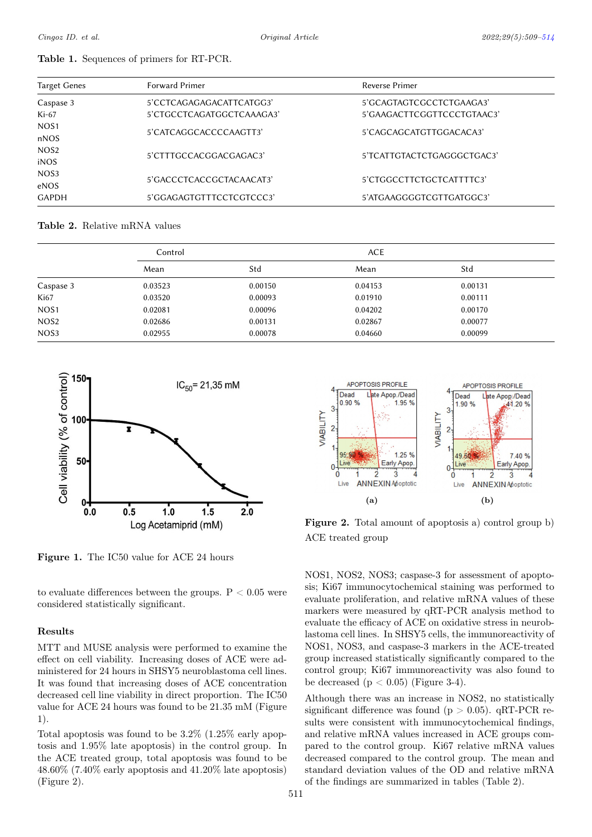|  | <b>Table 1.</b> Sequences of primers for RT-PCR. |  |  |  |  |  |
|--|--------------------------------------------------|--|--|--|--|--|
|--|--------------------------------------------------|--|--|--|--|--|

| <b>Target Genes</b> | Forward Primer            | Reverse Primer             |  |  |
|---------------------|---------------------------|----------------------------|--|--|
| Caspase 3           | 5'CCTCAGAGAGACATTCATGG3'  | 5'GCAGTAGTCGCCTCTGAAGA3'   |  |  |
| $Ki-67$             | 5'CTGCCTCAGATGGCTCAAAGA3' | 5'GAAGACTTCGGTTCCCTGTAAC3' |  |  |
| NOS <sub>1</sub>    |                           |                            |  |  |
| nNOS                | 5'CATCAGGCACCCCAAGTT3'    | 5'CAGCAGCATGTTGGACACA3'    |  |  |
| NOS <sub>2</sub>    |                           |                            |  |  |
| iNOS                | 5'CTTTGCCACGGACGAGAC3'    | 5'TCATTGTACTCTGAGGGCTGAC3' |  |  |
| NOS <sub>3</sub>    | 5'GACCCTCACCGCTACAACAT3'  | 5'CTGGCCTTCTGCTCATTTTC3'   |  |  |
| eNOS                |                           |                            |  |  |
| <b>GAPDH</b>        | 5'GGAGAGTGTTTCCTCGTCCC3'  | 5'ATGAAGGGGTCGTTGATGGC3'   |  |  |

Table 2. Relative mRNA values

|                  | Control |         | <b>ACE</b> |         |  |
|------------------|---------|---------|------------|---------|--|
|                  | Mean    | Std     | Mean       | Std     |  |
| Caspase 3        | 0.03523 | 0.00150 | 0.04153    | 0.00131 |  |
| Ki67             | 0.03520 | 0.00093 | 0.01910    | 0.00111 |  |
| NOS <sub>1</sub> | 0.02081 | 0.00096 | 0.04202    | 0.00170 |  |
| NOS <sub>2</sub> | 0.02686 | 0.00131 | 0.02867    | 0.00077 |  |
| NOS <sub>3</sub> | 0.02955 | 0.00078 | 0.04660    | 0.00099 |  |



Figure 1. The IC50 value for ACE 24 hours

to evaluate differences between the groups.  $P < 0.05$  were considered statistically significant.

## Results

MTT and MUSE analysis were performed to examine the effect on cell viability. Increasing doses of ACE were administered for 24 hours in SHSY5 neuroblastoma cell lines. It was found that increasing doses of ACE concentration decreased cell line viability in direct proportion. The IC50 value for ACE 24 hours was found to be 21.35 mM (Figure 1).

Total apoptosis was found to be 3.2% (1.25% early apoptosis and 1.95% late apoptosis) in the control group. In the ACE treated group, total apoptosis was found to be 48.60% (7.40% early apoptosis and 41.20% late apoptosis) (Figure 2).



Figure 2. Total amount of apoptosis a) control group b) ACE treated group

NOS1, NOS2, NOS3; caspase-3 for assessment of apoptosis; Ki67 immunocytochemical staining was performed to evaluate proliferation, and relative mRNA values of these markers were measured by qRT-PCR analysis method to evaluate the efficacy of ACE on oxidative stress in neuroblastoma cell lines. In SHSY5 cells, the immunoreactivity of NOS1, NOS3, and caspase-3 markers in the ACE-treated group increased statistically significantly compared to the control group; Ki67 immunoreactivity was also found to be decreased  $(p < 0.05)$  (Figure 3-4).

Although there was an increase in NOS2, no statistically significant difference was found ( $p > 0.05$ ). qRT-PCR results were consistent with immunocytochemical findings, and relative mRNA values increased in ACE groups compared to the control group. Ki67 relative mRNA values decreased compared to the control group. The mean and standard deviation values of the OD and relative mRNA of the findings are summarized in tables (Table 2).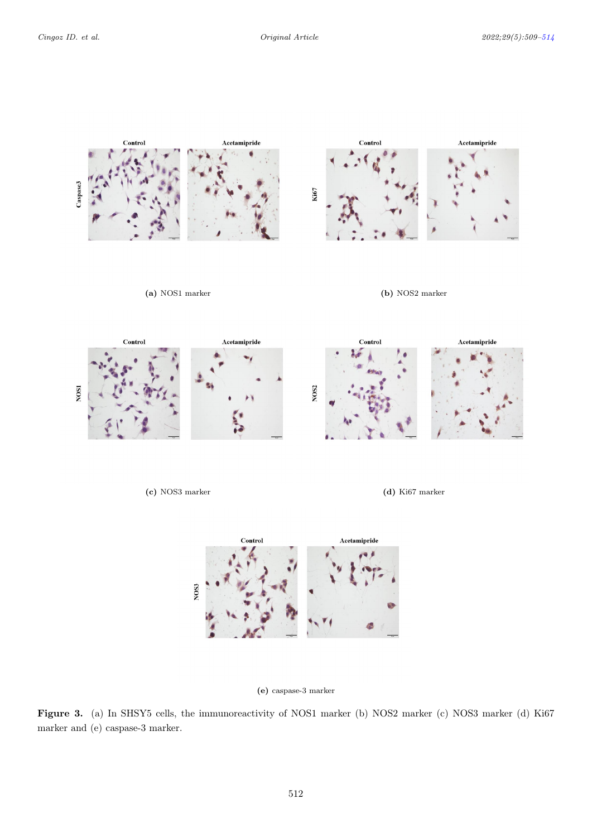



# (e) caspase-3 marker

Figure 3. (a) In SHSY5 cells, the immunoreactivity of NOS1 marker (b) NOS2 marker (c) NOS3 marker (d) Ki67 marker and (e) caspase-3 marker.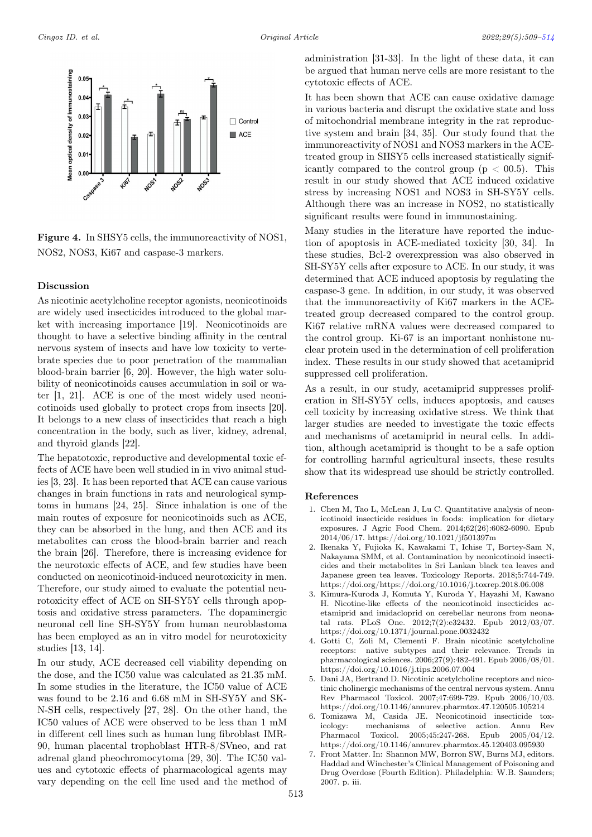<span id="page-4-0"></span>

Figure 4. In SHSY5 cells, the immunoreactivity of NOS1, NOS2, NOS3, Ki67 and caspase-3 markers.

#### Discussion

As nicotinic acetylcholine receptor agonists, neonicotinoids are widely used insecticides introduced to the global market with increasing importance [19]. Neonicotinoids are thought to have a selective binding affinity in the central nervous system of insects and have low toxicity to vertebrate species due to poor penetration of the mammalian blood-brain barrier [6, 20]. However, the high water solubility of neonicotinoids causes accumulation in soil or water [1, 21]. ACE is one of the most widely used neonicotinoids used globally to protect crops from insects [20]. It belongs to a new class of insecticides that reach a high concentration in the body, such as liver, kidney, adrenal, and thyroid glands [22].

The hepatotoxic, reproductive and developmental toxic effects of ACE have been well studied in in vivo animal studies [3, 23]. It has been reported that ACE can cause various changes in brain functions in rats and neurological symptoms in humans [24, 25]. Since inhalation is one of the main routes of exposure for neonicotinoids such as ACE, they can be absorbed in the lung, and then ACE and its metabolites can cross the blood-brain barrier and reach the brain [26]. Therefore, there is increasing evidence for the neurotoxic effects of ACE, and few studies have been conducted on neonicotinoid-induced neurotoxicity in men. Therefore, our study aimed to evaluate the potential neurotoxicity effect of ACE on SH-SY5Y cells through apoptosis and oxidative stress parameters. The dopaminergic neuronal cell line SH-SY5Y from human neuroblastoma has been employed as an in vitro model for neurotoxicity studies [13, 14].

In our study, ACE decreased cell viability depending on the dose, and the IC50 value was calculated as 21.35 mM. In some studies in the literature, the IC50 value of ACE was found to be 2.16 and 6.68 mM in SH-SY5Y and SK-N-SH cells, respectively [27, 28]. On the other hand, the IC50 values of ACE were observed to be less than 1 mM in different cell lines such as human lung fibroblast IMR-90, human placental trophoblast HTR-8/SVneo, and rat adrenal gland pheochromocytoma [29, 30]. The IC50 values and cytotoxic effects of pharmacological agents may vary depending on the cell line used and the method of administration [31-33]. In the light of these data, it can be argued that human nerve cells are more resistant to the cytotoxic effects of ACE.

It has been shown that ACE can cause oxidative damage in various bacteria and disrupt the oxidative state and loss of mitochondrial membrane integrity in the rat reproductive system and brain [34, 35]. Our study found that the immunoreactivity of NOS1 and NOS3 markers in the ACEtreated group in SHSY5 cells increased statistically significantly compared to the control group  $(p < 0.5)$ . This result in our study showed that ACE induced oxidative stress by increasing NOS1 and NOS3 in SH-SY5Y cells. Although there was an increase in NOS2, no statistically significant results were found in immunostaining.

Many studies in the literature have reported the induction of apoptosis in ACE-mediated toxicity [30, 34]. In these studies, Bcl-2 overexpression was also observed in SH-SY5Y cells after exposure to ACE. In our study, it was determined that ACE induced apoptosis by regulating the caspase-3 gene. In addition, in our study, it was observed that the immunoreactivity of Ki67 markers in the ACEtreated group decreased compared to the control group. Ki67 relative mRNA values were decreased compared to the control group. Ki-67 is an important nonhistone nuclear protein used in the determination of cell proliferation index. These results in our study showed that acetamiprid suppressed cell proliferation.

As a result, in our study, acetamiprid suppresses proliferation in SH-SY5Y cells, induces apoptosis, and causes cell toxicity by increasing oxidative stress. We think that larger studies are needed to investigate the toxic effects and mechanisms of acetamiprid in neural cells. In addition, although acetamiprid is thought to be a safe option for controlling harmful agricultural insects, these results show that its widespread use should be strictly controlled.

#### References

- 1. Chen M, Tao L, McLean J, Lu C. Quantitative analysis of neonicotinoid insecticide residues in foods: implication for dietary exposures. J Agric Food Chem. 2014;62(26):6082-6090. Epub 2014/06/17. https://doi.org/10.1021/jf501397m
- 2. Ikenaka Y, Fujioka K, Kawakami T, Ichise T, Bortey-Sam N, Nakayama SMM, et al. Contamination by neonicotinoid insecticides and their metabolites in Sri Lankan black tea leaves and Japanese green tea leaves. Toxicology Reports. 2018;5:744-749. https://doi.org/https://doi.org/10.1016/j.toxrep.2018.06.008
- 3. Kimura-Kuroda J, Komuta Y, Kuroda Y, Hayashi M, Kawano H. Nicotine-like effects of the neonicotinoid insecticides acetamiprid and imidacloprid on cerebellar neurons from neonatal rats. PLoS One. 2012;7(2):e32432. Epub 2012/03/07. https://doi.org/10.1371/journal.pone.0032432
- 4. Gotti C, Zoli M, Clementi F. Brain nicotinic acetylcholine receptors: native subtypes and their relevance. Trends in pharmacological sciences. 2006;27(9):482-491. Epub 2006/08/01. https://doi.org/10.1016/j.tips.2006.07.004
- 5. Dani JA, Bertrand D. Nicotinic acetylcholine receptors and nicotinic cholinergic mechanisms of the central nervous system. Annu Rev Pharmacol Toxicol. 2007;47:699-729. Epub 2006/10/03. https://doi.org/10.1146/annurev.pharmtox.47.120505.105214
- 6. Tomizawa M, Casida JE. Neonicotinoid insecticide toxicology: mechanisms of selective action. Annu Rev Pharmacol Toxicol. 2005;45:247-268. Epub 2005/04/12. https://doi.org/10.1146/annurev.pharmtox.45.120403.095930
- 7. Front Matter. In: Shannon MW, Borron SW, Burns MJ, editors. Haddad and Winchester's Clinical Management of Poisoning and Drug Overdose (Fourth Edition). Philadelphia: W.B. Saunders; 2007. p. iii.